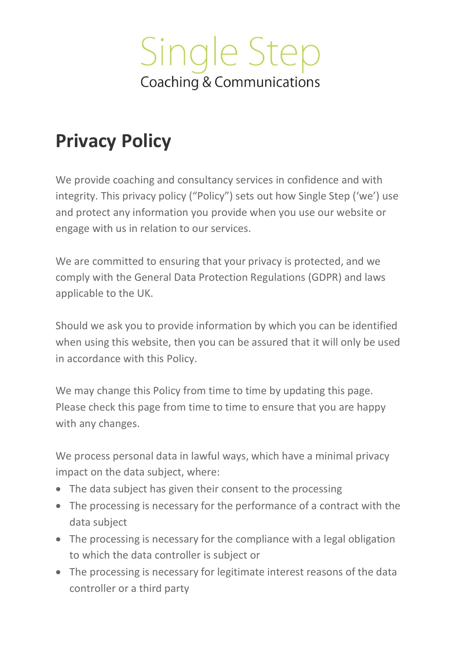

### **Privacy Policy**

We provide coaching and consultancy services in confidence and with integrity. This privacy policy ("Policy") sets out how Single Step ('we') use and protect any information you provide when you use our website or engage with us in relation to our services.

We are committed to ensuring that your privacy is protected, and we comply with the General Data Protection Regulations (GDPR) and laws applicable to the UK.

Should we ask you to provide information by which you can be identified when using this website, then you can be assured that it will only be used in accordance with this Policy.

We may change this Policy from time to time by updating this page. Please check this page from time to time to ensure that you are happy with any changes.

We process personal data in lawful ways, which have a minimal privacy impact on the data subject, where:

- The data subject has given their consent to the processing
- The processing is necessary for the performance of a contract with the data subject
- The processing is necessary for the compliance with a legal obligation to which the data controller is subject or
- The processing is necessary for legitimate interest reasons of the data controller or a third party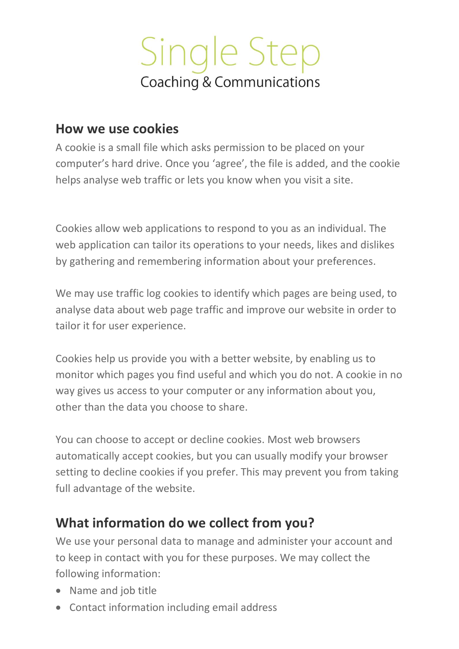#### **How we use cookies**

A cookie is a small file which asks permission to be placed on your computer's hard drive. Once you 'agree', the file is added, and the cookie helps analyse web traffic or lets you know when you visit a site.

Cookies allow web applications to respond to you as an individual. The web application can tailor its operations to your needs, likes and dislikes by gathering and remembering information about your preferences.

We may use traffic log cookies to identify which pages are being used, to analyse data about web page traffic and improve our website in order to tailor it for user experience.

Cookies help us provide you with a better website, by enabling us to monitor which pages you find useful and which you do not. A cookie in no way gives us access to your computer or any information about you, other than the data you choose to share.

You can choose to accept or decline cookies. Most web browsers automatically accept cookies, but you can usually modify your browser setting to decline cookies if you prefer. This may prevent you from taking full advantage of the website.

#### **What information do we collect from you?**

We use your personal data to manage and administer your account and to keep in contact with you for these purposes. We may collect the following information:

- Name and job title
- Contact information including email address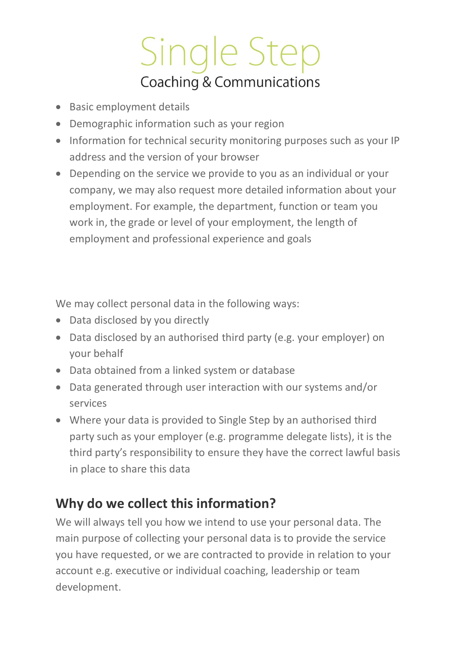- Basic employment details
- Demographic information such as your region
- Information for technical security monitoring purposes such as your IP address and the version of your browser
- Depending on the service we provide to you as an individual or your company, we may also request more detailed information about your employment. For example, the department, function or team you work in, the grade or level of your employment, the length of employment and professional experience and goals

We may collect personal data in the following ways:

- Data disclosed by you directly
- Data disclosed by an authorised third party (e.g. your employer) on your behalf
- Data obtained from a linked system or database
- Data generated through user interaction with our systems and/or services
- Where your data is provided to Single Step by an authorised third party such as your employer (e.g. programme delegate lists), it is the third party's responsibility to ensure they have the correct lawful basis in place to share this data

### **Why do we collect this information?**

We will always tell you how we intend to use your personal data. The main purpose of collecting your personal data is to provide the service you have requested, or we are contracted to provide in relation to your account e.g. executive or individual coaching, leadership or team development.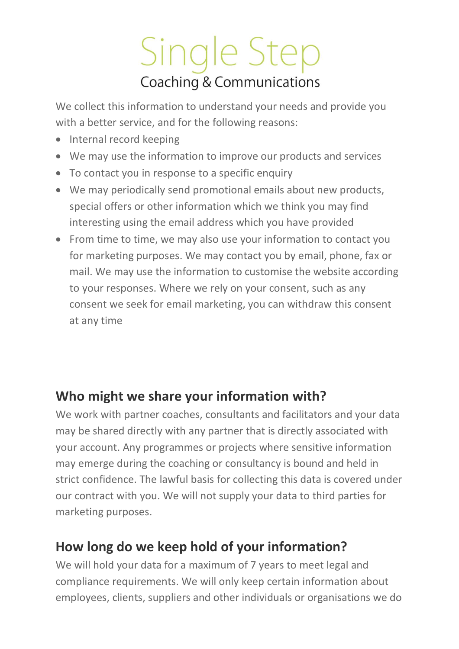We collect this information to understand your needs and provide you with a better service, and for the following reasons:

- Internal record keeping
- We may use the information to improve our products and services
- To contact you in response to a specific enquiry
- We may periodically send promotional emails about new products, special offers or other information which we think you may find interesting using the email address which you have provided
- From time to time, we may also use your information to contact you for marketing purposes. We may contact you by email, phone, fax or mail. We may use the information to customise the website according to your responses. Where we rely on your consent, such as any consent we seek for email marketing, you can withdraw this consent at any time

### **Who might we share your information with?**

We work with partner coaches, consultants and facilitators and your data may be shared directly with any partner that is directly associated with your account. Any programmes or projects where sensitive information may emerge during the coaching or consultancy is bound and held in strict confidence. The lawful basis for collecting this data is covered under our contract with you. We will not supply your data to third parties for marketing purposes.

### **How long do we keep hold of your information?**

We will hold your data for a maximum of 7 years to meet legal and compliance requirements. We will only keep certain information about employees, clients, suppliers and other individuals or organisations we do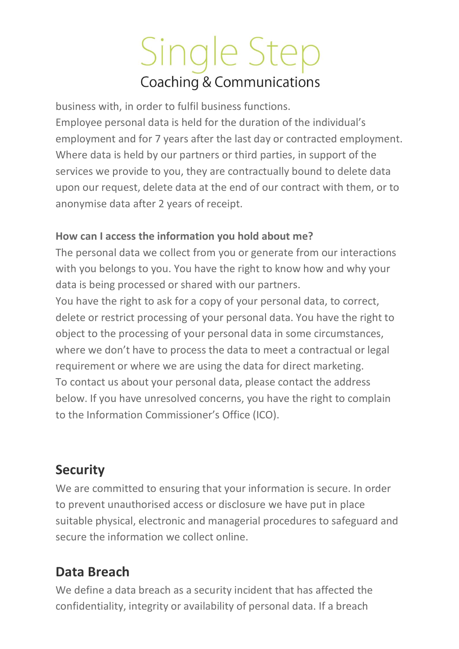business with, in order to fulfil business functions. Employee personal data is held for the duration of the individual's employment and for 7 years after the last day or contracted employment. Where data is held by our partners or third parties, in support of the services we provide to you, they are contractually bound to delete data upon our request, delete data at the end of our contract with them, or to anonymise data after 2 years of receipt.

#### **How can I access the information you hold about me?**

The personal data we collect from you or generate from our interactions with you belongs to you. You have the right to know how and why your data is being processed or shared with our partners.

You have the right to ask for a copy of your personal data, to correct, delete or restrict processing of your personal data. You have the right to object to the processing of your personal data in some circumstances, where we don't have to process the data to meet a contractual or legal requirement or where we are using the data for direct marketing. To contact us about your personal data, please contact the address below. If you have unresolved concerns, you have the right to complain to the Information Commissioner's Office (ICO).

### **Security**

We are committed to ensuring that your information is secure. In order to prevent unauthorised access or disclosure we have put in place suitable physical, electronic and managerial procedures to safeguard and secure the information we collect online.

### **Data Breach**

We define a data breach as a security incident that has affected the confidentiality, integrity or availability of personal data. If a breach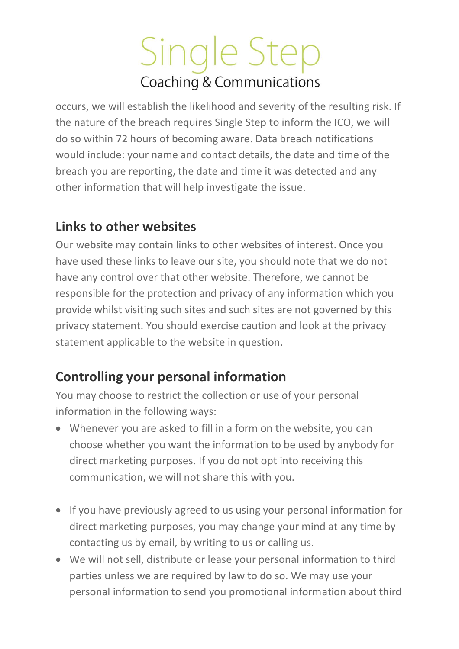occurs, we will establish the likelihood and severity of the resulting risk. If the nature of the breach requires Single Step to inform the ICO, we will do so within 72 hours of becoming aware. Data breach notifications would include: your name and contact details, the date and time of the breach you are reporting, the date and time it was detected and any other information that will help investigate the issue.

#### **Links to other websites**

Our website may contain links to other websites of interest. Once you have used these links to leave our site, you should note that we do not have any control over that other website. Therefore, we cannot be responsible for the protection and privacy of any information which you provide whilst visiting such sites and such sites are not governed by this privacy statement. You should exercise caution and look at the privacy statement applicable to the website in question.

#### **Controlling your personal information**

You may choose to restrict the collection or use of your personal information in the following ways:

- Whenever you are asked to fill in a form on the website, you can choose whether you want the information to be used by anybody for direct marketing purposes. If you do not opt into receiving this communication, we will not share this with you.
- If you have previously agreed to us using your personal information for direct marketing purposes, you may change your mind at any time by contacting us by email, by writing to us or calling us.
- We will not sell, distribute or lease your personal information to third parties unless we are required by law to do so. We may use your personal information to send you promotional information about third